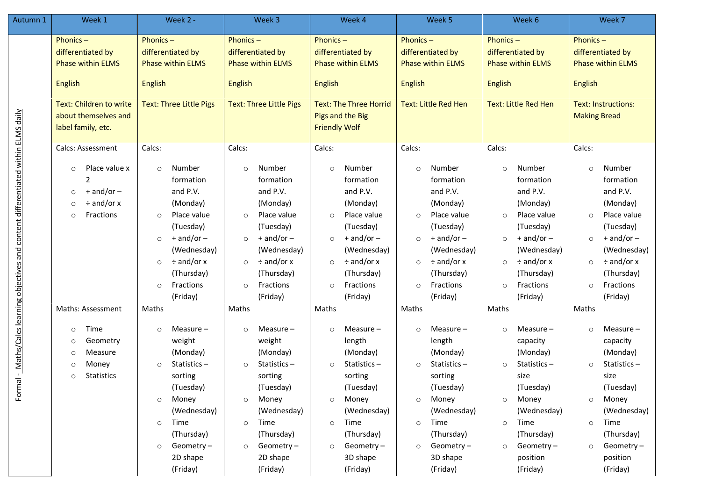| Autumn 1                                                                              | Week 1                                                                                                                           | Week 2 -                                                                                                                                                                                                                           | Week 3                                                                                                                                                                                                                             | Week 4                                                                                                                                                                                                                             | Week 5                                                                                                                                                                                                                             | Week 6                                                                                                                                                                                                                             | Week 7                                                                                                                                                                                                                             |  |
|---------------------------------------------------------------------------------------|----------------------------------------------------------------------------------------------------------------------------------|------------------------------------------------------------------------------------------------------------------------------------------------------------------------------------------------------------------------------------|------------------------------------------------------------------------------------------------------------------------------------------------------------------------------------------------------------------------------------|------------------------------------------------------------------------------------------------------------------------------------------------------------------------------------------------------------------------------------|------------------------------------------------------------------------------------------------------------------------------------------------------------------------------------------------------------------------------------|------------------------------------------------------------------------------------------------------------------------------------------------------------------------------------------------------------------------------------|------------------------------------------------------------------------------------------------------------------------------------------------------------------------------------------------------------------------------------|--|
|                                                                                       | Phonics-<br>differentiated by<br><b>Phase within ELMS</b><br>English<br>Text: Children to write<br>about themselves and          | Phonics $-$<br>differentiated by<br><b>Phase within ELMS</b><br><b>English</b><br><b>Text: Three Little Pigs</b>                                                                                                                   | Phonics-<br>differentiated by<br><b>Phase within ELMS</b><br><b>English</b><br><b>Text: Three Little Pigs</b>                                                                                                                      | Phonics $-$<br>differentiated by<br><b>Phase within ELMS</b><br><b>English</b><br><b>Text: The Three Horrid</b><br>Pigs and the Big                                                                                                | Phonics $-$<br>differentiated by<br><b>Phase within ELMS</b><br><b>English</b><br><b>Text: Little Red Hen</b>                                                                                                                      | Phonics $-$<br>differentiated by<br><b>Phase within ELMS</b><br><b>English</b><br><b>Text: Little Red Hen</b>                                                                                                                      | Phonics $-$<br>differentiated by<br><b>Phase within ELMS</b><br><b>English</b><br><b>Text: Instructions:</b><br><b>Making Bread</b>                                                                                                |  |
| Formal - Maths/Calcs learning objectives and content differentiated within ELMS daily | label family, etc.<br><b>Calcs: Assessment</b>                                                                                   | Calcs:                                                                                                                                                                                                                             | Calcs:                                                                                                                                                                                                                             | <b>Friendly Wolf</b><br>Calcs:                                                                                                                                                                                                     | Calcs:                                                                                                                                                                                                                             | Calcs:                                                                                                                                                                                                                             | Calcs:                                                                                                                                                                                                                             |  |
|                                                                                       | Place value x<br>$\circ$<br>$+$ and/or $-$<br>$\circ$<br>$\div$ and/or x<br>$\circ$<br>Fractions<br>$\circ$<br>Maths: Assessment | Number<br>$\circ$<br>formation<br>and P.V.<br>(Monday)<br>Place value<br>$\circ$<br>(Tuesday)<br>$+$ and/or $-$<br>$\circ$<br>(Wednesday)<br>$\div$ and/or x<br>$\circ$<br>(Thursday)<br>Fractions<br>$\circ$<br>(Friday)<br>Maths | Number<br>$\circ$<br>formation<br>and P.V.<br>(Monday)<br>Place value<br>$\circ$<br>(Tuesday)<br>$+$ and/or $-$<br>$\circ$<br>(Wednesday)<br>$\div$ and/or x<br>$\circ$<br>(Thursday)<br>Fractions<br>$\circ$<br>(Friday)<br>Maths | Number<br>$\circ$<br>formation<br>and P.V.<br>(Monday)<br>Place value<br>$\circ$<br>(Tuesday)<br>$+$ and/or $-$<br>$\circ$<br>(Wednesday)<br>$\div$ and/or x<br>$\circ$<br>(Thursday)<br>Fractions<br>$\circ$<br>(Friday)<br>Maths | Number<br>$\circ$<br>formation<br>and P.V.<br>(Monday)<br>Place value<br>$\circ$<br>(Tuesday)<br>$+$ and/or $-$<br>$\circ$<br>(Wednesday)<br>$\div$ and/or x<br>$\circ$<br>(Thursday)<br>Fractions<br>$\circ$<br>(Friday)<br>Maths | Number<br>$\circ$<br>formation<br>and P.V.<br>(Monday)<br>Place value<br>$\circ$<br>(Tuesday)<br>$+$ and/or $-$<br>$\circ$<br>(Wednesday)<br>$\div$ and/or x<br>$\circ$<br>(Thursday)<br>Fractions<br>$\circ$<br>(Friday)<br>Maths | Number<br>$\circ$<br>formation<br>and P.V.<br>(Monday)<br>Place value<br>$\circ$<br>(Tuesday)<br>$+$ and/or $-$<br>$\circ$<br>(Wednesday)<br>$\div$ and/or x<br>$\circ$<br>(Thursday)<br>Fractions<br>$\circ$<br>(Friday)<br>Maths |  |
|                                                                                       | Time<br>$\circ$<br>Geometry<br>$\circ$<br>Measure<br>$\circ$<br>Money<br>$\circ$<br><b>Statistics</b><br>$\circ$                 | Measure $-$<br>$\circ$<br>weight<br>(Monday)<br>Statistics-<br>$\circ$<br>sorting<br>(Tuesday)<br>Money<br>$\circ$<br>(Wednesday)<br>Time<br>$\circ$<br>(Thursday)<br>Geometry $-$<br>O<br>2D shape<br>(Friday)                    | Measure $-$<br>$\circ$<br>weight<br>(Monday)<br>Statistics-<br>$\circ$<br>sorting<br>(Tuesday)<br>Money<br>$\circ$<br>(Wednesday)<br>Time<br>$\circ$<br>(Thursday)<br>Geometry-<br>$\circ$<br>2D shape<br>(Friday)                 | Measure -<br>$\circ$<br>length<br>(Monday)<br>Statistics-<br>$\circ$<br>sorting<br>(Tuesday)<br>Money<br>$\circ$<br>(Wednesday)<br>Time<br>$\circ$<br>(Thursday)<br>Geometry $-$<br>$\circ$<br>3D shape<br>(Friday)                | Measure -<br>$\circ$<br>length<br>(Monday)<br>Statistics-<br>$\circ$<br>sorting<br>(Tuesday)<br>Money<br>$\circ$<br>(Wednesday)<br>Time<br>$\circ$<br>(Thursday)<br>Geometry-<br>$\circ$<br>3D shape<br>(Friday)                   | Measure $-$<br>$\circ$<br>capacity<br>(Monday)<br>Statistics-<br>$\Omega$<br>size<br>(Tuesday)<br>Money<br>$\circ$<br>(Wednesday)<br>Time<br>$\circ$<br>(Thursday)<br>Geometry-<br>$\circ$<br>position<br>(Friday)                 | Measure -<br>$\circ$<br>capacity<br>(Monday)<br>Statistics-<br>$\circ$<br>size<br>(Tuesday)<br>Money<br>$\circ$<br>(Wednesday)<br>Time<br>$\circ$<br>(Thursday)<br>Geometry-<br>position<br>(Friday)                               |  |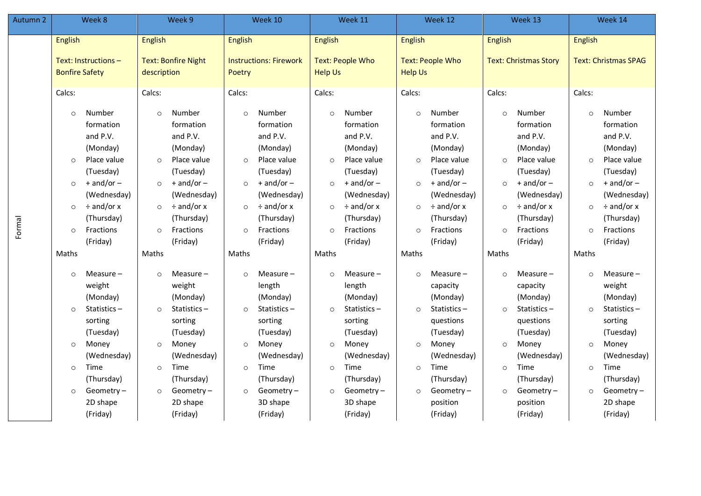| Autumn 2 | Week 8                                              |                                                                                                                                                                | Week 9                                              |                                                                                                                                                                | Week 10                                             |                                                                                                                                                                | Week 11                                             |                                                                                                                                                              | Week 12                                             |                                                                                                                                                                  | Week 13                                              |                                                                                                                                                                    | Week 14                                                |                                                                                                                                                          |
|----------|-----------------------------------------------------|----------------------------------------------------------------------------------------------------------------------------------------------------------------|-----------------------------------------------------|----------------------------------------------------------------------------------------------------------------------------------------------------------------|-----------------------------------------------------|----------------------------------------------------------------------------------------------------------------------------------------------------------------|-----------------------------------------------------|--------------------------------------------------------------------------------------------------------------------------------------------------------------|-----------------------------------------------------|------------------------------------------------------------------------------------------------------------------------------------------------------------------|------------------------------------------------------|--------------------------------------------------------------------------------------------------------------------------------------------------------------------|--------------------------------------------------------|----------------------------------------------------------------------------------------------------------------------------------------------------------|
|          | <b>English</b>                                      |                                                                                                                                                                | English                                             |                                                                                                                                                                | <b>English</b>                                      |                                                                                                                                                                | <b>English</b>                                      |                                                                                                                                                              | <b>English</b>                                      |                                                                                                                                                                  | English                                              |                                                                                                                                                                    | <b>English</b>                                         |                                                                                                                                                          |
|          | Text: Instructions -<br><b>Bonfire Safety</b>       |                                                                                                                                                                | <b>Text: Bonfire Night</b><br>description           |                                                                                                                                                                | <b>Instructions: Firework</b><br>Poetry             |                                                                                                                                                                | <b>Text: People Who</b><br><b>Help Us</b>           |                                                                                                                                                              | <b>Text: People Who</b><br><b>Help Us</b>           |                                                                                                                                                                  | <b>Text: Christmas Story</b>                         |                                                                                                                                                                    | <b>Text: Christmas SPAG</b>                            |                                                                                                                                                          |
| Formal   | Calcs:                                              |                                                                                                                                                                | Calcs:                                              |                                                                                                                                                                | Calcs:                                              |                                                                                                                                                                | Calcs:                                              |                                                                                                                                                              | Calcs:                                              |                                                                                                                                                                  | Calcs:                                               |                                                                                                                                                                    | Calcs:                                                 |                                                                                                                                                          |
|          | $\circ$<br>$\circ$<br>$\circ$<br>$\circ$<br>$\circ$ | Number<br>formation<br>and P.V.<br>(Monday)<br>Place value<br>(Tuesday)<br>$+$ and/or $-$<br>(Wednesday)<br>$\div$ and/or x<br>(Thursday)<br>Fractions         | $\circ$<br>$\circ$<br>$\circ$<br>$\circ$<br>$\circ$ | Number<br>formation<br>and P.V.<br>(Monday)<br>Place value<br>(Tuesday)<br>$+$ and/or $-$<br>(Wednesday)<br>$\div$ and/or x<br>(Thursday)<br>Fractions         | $\circ$<br>$\circ$<br>$\circ$<br>$\circ$<br>$\circ$ | Number<br>formation<br>and P.V.<br>(Monday)<br>Place value<br>(Tuesday)<br>$+$ and/or $-$<br>(Wednesday)<br>$\div$ and/or x<br>(Thursday)<br>Fractions         | $\circ$<br>$\circ$<br>$\circ$<br>$\circ$<br>$\circ$ | Number<br>formation<br>and P.V.<br>(Monday)<br>Place value<br>(Tuesday)<br>$+$ and/or $-$<br>(Wednesday)<br>$\div$ and/or x<br>(Thursday)<br>Fractions       | $\circ$<br>$\circ$<br>$\circ$<br>$\circ$<br>$\circ$ | Number<br>formation<br>and P.V.<br>(Monday)<br>Place value<br>(Tuesday)<br>$+$ and/or $-$<br>(Wednesday)<br>$\div$ and/or x<br>(Thursday)<br>Fractions           | $\circ$<br>$\circ$<br>$\circ$<br>$\circ$<br>$\circ$  | Number<br>formation<br>and P.V.<br>(Monday)<br>Place value<br>(Tuesday)<br>$+$ and/or $-$<br>(Wednesday)<br>$\div$ and/or x<br>(Thursday)<br>Fractions             | $\circ$<br>$\Omega$<br>$\circ$<br>$\circ$<br>$\circ$   | Number<br>formation<br>and P.V.<br>(Monday)<br>Place value<br>(Tuesday)<br>$+$ and/or $-$<br>(Wednesday)<br>$\div$ and/or x<br>(Thursday)<br>Fractions   |
|          | Maths                                               | (Friday)                                                                                                                                                       | Maths                                               | (Friday)                                                                                                                                                       | Maths                                               | (Friday)                                                                                                                                                       | Maths                                               | (Friday)                                                                                                                                                     | Maths                                               | (Friday)                                                                                                                                                         | Maths                                                | (Friday)                                                                                                                                                           | Maths                                                  | (Friday)                                                                                                                                                 |
|          | $\circ$<br>$\circ$<br>$\circ$<br>$\circ$<br>$\circ$ | Measure $-$<br>weight<br>(Monday)<br>Statistics $-$<br>sorting<br>(Tuesday)<br>Money<br>(Wednesday)<br>Time<br>(Thursday)<br>Geometry-<br>2D shape<br>(Friday) | $\circ$<br>$\circ$<br>$\circ$<br>$\circ$<br>$\circ$ | Measure $-$<br>weight<br>(Monday)<br>Statistics-<br>sorting<br>(Tuesday)<br>Money<br>(Wednesday)<br>Time<br>(Thursday)<br>Geometry $-$<br>2D shape<br>(Friday) | $\circ$<br>$\circ$<br>$\circ$<br>$\circ$<br>$\circ$ | Measure $-$<br>length<br>(Monday)<br>Statistics-<br>sorting<br>(Tuesday)<br>Money<br>(Wednesday)<br>Time<br>(Thursday)<br>Geometry $-$<br>3D shape<br>(Friday) | $\circ$<br>$\circ$<br>$\circ$<br>$\circ$<br>$\circ$ | Measure -<br>length<br>(Monday)<br>Statistics $-$<br>sorting<br>(Tuesday)<br>Money<br>(Wednesday)<br>Time<br>(Thursday)<br>Geometry-<br>3D shape<br>(Friday) | $\circ$<br>$\circ$<br>$\circ$<br>$\circ$<br>$\circ$ | Measure -<br>capacity<br>(Monday)<br>Statistics $-$<br>questions<br>(Tuesday)<br>Money<br>(Wednesday)<br>Time<br>(Thursday)<br>Geometry-<br>position<br>(Friday) | $\Omega$<br>$\circ$<br>$\circ$<br>$\circ$<br>$\circ$ | Measure $-$<br>capacity<br>(Monday)<br>Statistics $-$<br>questions<br>(Tuesday)<br>Money<br>(Wednesday)<br>Time<br>(Thursday)<br>Geometry-<br>position<br>(Friday) | $\Omega$<br>$\Omega$<br>$\circ$<br>$\circ$<br>$\Omega$ | Measure-<br>weight<br>(Monday)<br>Statistics-<br>sorting<br>(Tuesday)<br>Money<br>(Wednesday)<br>Time<br>(Thursday)<br>Geometry-<br>2D shape<br>(Friday) |

Formal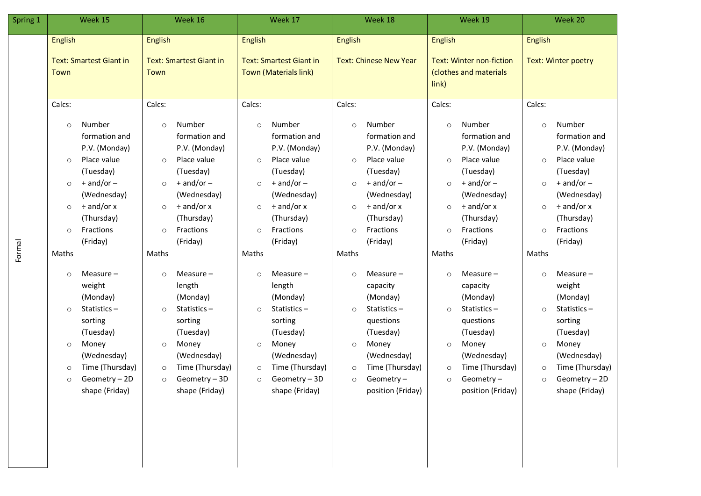| Spring 1 | Week 15                                                                                                                       |                                                                                                                                                                                                                                                                                                                        | Week 16                                                                                                                       |                                                                                                                                                                                                                                                                                                                        | Week 17                                                                                                                       |                                                                                                                                                                                                                                                                                                                           | Week 18                                                                                                                       |                                                                                                                                                                                                                                                                                                                              | Week 19                                                                                                                       |                                                                                                                                                                                                                                                                                                                              | Week 20                                                                                                                       |                                                                                                                                                                                                                                                                                                                           |
|----------|-------------------------------------------------------------------------------------------------------------------------------|------------------------------------------------------------------------------------------------------------------------------------------------------------------------------------------------------------------------------------------------------------------------------------------------------------------------|-------------------------------------------------------------------------------------------------------------------------------|------------------------------------------------------------------------------------------------------------------------------------------------------------------------------------------------------------------------------------------------------------------------------------------------------------------------|-------------------------------------------------------------------------------------------------------------------------------|---------------------------------------------------------------------------------------------------------------------------------------------------------------------------------------------------------------------------------------------------------------------------------------------------------------------------|-------------------------------------------------------------------------------------------------------------------------------|------------------------------------------------------------------------------------------------------------------------------------------------------------------------------------------------------------------------------------------------------------------------------------------------------------------------------|-------------------------------------------------------------------------------------------------------------------------------|------------------------------------------------------------------------------------------------------------------------------------------------------------------------------------------------------------------------------------------------------------------------------------------------------------------------------|-------------------------------------------------------------------------------------------------------------------------------|---------------------------------------------------------------------------------------------------------------------------------------------------------------------------------------------------------------------------------------------------------------------------------------------------------------------------|
|          | <b>English</b><br><b>Text: Smartest Giant in</b><br>Town                                                                      |                                                                                                                                                                                                                                                                                                                        | <b>English</b><br><b>Text: Smartest Giant in</b><br>Town                                                                      |                                                                                                                                                                                                                                                                                                                        | English<br><b>Text: Smartest Giant in</b><br>Town (Materials link)                                                            |                                                                                                                                                                                                                                                                                                                           | English<br><b>Text: Chinese New Year</b>                                                                                      |                                                                                                                                                                                                                                                                                                                              | <b>English</b><br><b>Text: Winter non-fiction</b><br>(clothes and materials<br>link)                                          |                                                                                                                                                                                                                                                                                                                              | <b>English</b><br>Text: Winter poetry                                                                                         |                                                                                                                                                                                                                                                                                                                           |
| Formal   | Calcs:<br>$\circ$<br>$\circ$<br>$\circ$<br>$\circ$<br>$\circ$<br>Maths<br>$\circ$<br>$\circ$<br>$\circ$<br>$\circ$<br>$\circ$ | Number<br>formation and<br>P.V. (Monday)<br>Place value<br>(Tuesday)<br>$+$ and/or $-$<br>(Wednesday)<br>$\div$ and/or x<br>(Thursday)<br>Fractions<br>(Friday)<br>Measure-<br>weight<br>(Monday)<br>Statistics-<br>sorting<br>(Tuesday)<br>Money<br>(Wednesday)<br>Time (Thursday)<br>Geometry - 2D<br>shape (Friday) | Calcs:<br>$\circ$<br>$\circ$<br>$\circ$<br>$\circ$<br>$\circ$<br>Maths<br>$\circ$<br>$\circ$<br>$\circ$<br>$\circ$<br>$\circ$ | Number<br>formation and<br>P.V. (Monday)<br>Place value<br>(Tuesday)<br>$+$ and/or $-$<br>(Wednesday)<br>$\div$ and/or x<br>(Thursday)<br>Fractions<br>(Friday)<br>Measure-<br>length<br>(Monday)<br>Statistics-<br>sorting<br>(Tuesday)<br>Money<br>(Wednesday)<br>Time (Thursday)<br>Geometry - 3D<br>shape (Friday) | Calcs:<br>$\circ$<br>$\circ$<br>$\circ$<br>$\circ$<br>$\circ$<br>Maths<br>$\circ$<br>$\circ$<br>$\circ$<br>$\circ$<br>$\circ$ | Number<br>formation and<br>P.V. (Monday)<br>Place value<br>(Tuesday)<br>$+$ and/or $-$<br>(Wednesday)<br>$\div$ and/or x<br>(Thursday)<br>Fractions<br>(Friday)<br>Measure $-$<br>length<br>(Monday)<br>Statistics-<br>sorting<br>(Tuesday)<br>Money<br>(Wednesday)<br>Time (Thursday)<br>Geometry - 3D<br>shape (Friday) | Calcs:<br>$\circ$<br>$\circ$<br>$\circ$<br>$\circ$<br>$\circ$<br>Maths<br>$\circ$<br>$\circ$<br>$\circ$<br>$\circ$<br>$\circ$ | Number<br>formation and<br>P.V. (Monday)<br>Place value<br>(Tuesday)<br>$+$ and/or $-$<br>(Wednesday)<br>$\div$ and/or x<br>(Thursday)<br>Fractions<br>(Friday)<br>Measure $-$<br>capacity<br>(Monday)<br>Statistics-<br>questions<br>(Tuesday)<br>Money<br>(Wednesday)<br>Time (Thursday)<br>Geometry-<br>position (Friday) | Calcs:<br>$\circ$<br>$\circ$<br>$\circ$<br>$\circ$<br>$\circ$<br>Maths<br>$\circ$<br>$\circ$<br>$\circ$<br>$\circ$<br>$\circ$ | Number<br>formation and<br>P.V. (Monday)<br>Place value<br>(Tuesday)<br>$+$ and/or $-$<br>(Wednesday)<br>$\div$ and/or x<br>(Thursday)<br>Fractions<br>(Friday)<br>Measure-<br>capacity<br>(Monday)<br>Statistics-<br>questions<br>(Tuesday)<br>Money<br>(Wednesday)<br>Time (Thursday)<br>Geometry $-$<br>position (Friday) | Calcs:<br>$\circ$<br>$\circ$<br>$\circ$<br>$\circ$<br>$\circ$<br>Maths<br>$\circ$<br>$\circ$<br>$\circ$<br>$\circ$<br>$\circ$ | Number<br>formation and<br>P.V. (Monday)<br>Place value<br>(Tuesday)<br>$+$ and/or $-$<br>(Wednesday)<br>$\div$ and/or x<br>(Thursday)<br>Fractions<br>(Friday)<br>Measure $-$<br>weight<br>(Monday)<br>Statistics-<br>sorting<br>(Tuesday)<br>Money<br>(Wednesday)<br>Time (Thursday)<br>Geometry - 2D<br>shape (Friday) |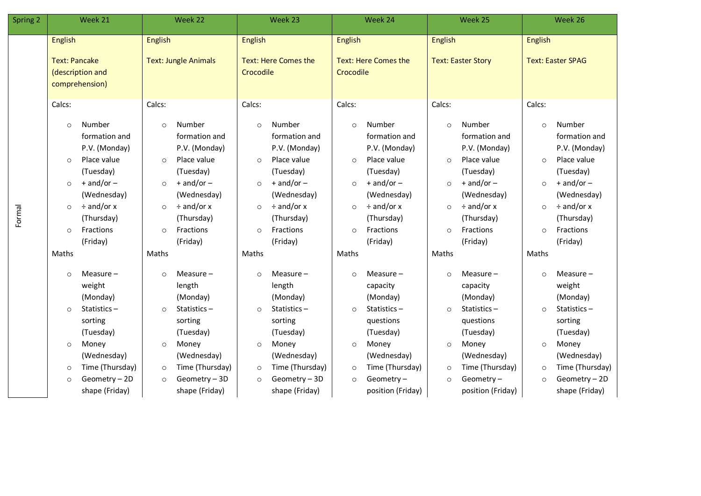| Spring 2 | Week 21                                                                                                                                                                                                                                   | Week 22                                                                                                                                                                                                                                   | Week 23                                                                                                                                                                                                                                   | Week 24                                                                                                                                                                                                                          | Week 25                                                                                                                                                                                                                                   | Week 26                                                                                                                                                                                                                          |  |
|----------|-------------------------------------------------------------------------------------------------------------------------------------------------------------------------------------------------------------------------------------------|-------------------------------------------------------------------------------------------------------------------------------------------------------------------------------------------------------------------------------------------|-------------------------------------------------------------------------------------------------------------------------------------------------------------------------------------------------------------------------------------------|----------------------------------------------------------------------------------------------------------------------------------------------------------------------------------------------------------------------------------|-------------------------------------------------------------------------------------------------------------------------------------------------------------------------------------------------------------------------------------------|----------------------------------------------------------------------------------------------------------------------------------------------------------------------------------------------------------------------------------|--|
|          | <b>English</b><br><b>Text: Pancake</b><br>(description and<br>comprehension)                                                                                                                                                              | English<br><b>Text: Jungle Animals</b>                                                                                                                                                                                                    | <b>English</b><br><b>Text: Here Comes the</b><br>Crocodile                                                                                                                                                                                | <b>English</b><br>Text: Here Comes the<br>Crocodile                                                                                                                                                                              | <b>English</b><br><b>Text: Easter Story</b>                                                                                                                                                                                               | <b>English</b><br><b>Text: Easter SPAG</b>                                                                                                                                                                                       |  |
| Formal   | Calcs:<br>Number<br>$\circ$<br>formation and<br>P.V. (Monday)<br>Place value<br>$\circ$<br>(Tuesday)<br>$+$ and/or $-$<br>$\circ$<br>(Wednesday)<br>$\div$ and/or x<br>$\circ$<br>(Thursday)<br>Fractions<br>$\circ$<br>(Friday)<br>Maths | Calcs:<br>Number<br>$\circ$<br>formation and<br>P.V. (Monday)<br>Place value<br>$\circ$<br>(Tuesday)<br>$+$ and/or $-$<br>$\circ$<br>(Wednesday)<br>$\div$ and/or x<br>$\circ$<br>(Thursday)<br>Fractions<br>$\circ$<br>(Friday)<br>Maths | Calcs:<br>Number<br>$\circ$<br>formation and<br>P.V. (Monday)<br>Place value<br>$\circ$<br>(Tuesday)<br>$+$ and/or $-$<br>$\circ$<br>(Wednesday)<br>$\div$ and/or x<br>$\circ$<br>(Thursday)<br>Fractions<br>$\circ$<br>(Friday)<br>Maths | Calcs:<br>Number<br>$\circ$<br>formation and<br>P.V. (Monday)<br>Place value<br>$\circ$<br>(Tuesday)<br>$+$ and/or $-$<br>$\circ$<br>(Wednesday)<br>$\div$ and/or x<br>$\circ$<br>(Thursday)<br>Fractions<br>$\circ$<br>(Friday) | Calcs:<br>Number<br>$\circ$<br>formation and<br>P.V. (Monday)<br>Place value<br>$\circ$<br>(Tuesday)<br>$+$ and/or $-$<br>$\circ$<br>(Wednesday)<br>$\div$ and/or x<br>$\circ$<br>(Thursday)<br>Fractions<br>$\circ$<br>(Friday)<br>Maths | Calcs:<br>Number<br>$\circ$<br>formation and<br>P.V. (Monday)<br>Place value<br>$\circ$<br>(Tuesday)<br>$+$ and/or $-$<br>$\circ$<br>(Wednesday)<br>$\div$ and/or x<br>$\circ$<br>(Thursday)<br>Fractions<br>$\circ$<br>(Friday) |  |
|          | Measure $-$<br>$\circ$<br>weight<br>(Monday)<br>Statistics-<br>$\circ$<br>sorting<br>(Tuesday)<br>Money<br>$\circ$<br>(Wednesday)<br>Time (Thursday)<br>$\circ$<br>Geometry - 2D<br>$\circ$<br>shape (Friday)                             | Measure $-$<br>$\circ$<br>length<br>(Monday)<br>Statistics-<br>$\circ$<br>sorting<br>(Tuesday)<br>Money<br>$\circ$<br>(Wednesday)<br>Time (Thursday)<br>$\circ$<br>Geometry - 3D<br>$\circ$<br>shape (Friday)                             | Measure $-$<br>$\circ$<br>length<br>(Monday)<br>Statistics-<br>$\circ$<br>sorting<br>(Tuesday)<br>Money<br>$\circ$<br>(Wednesday)<br>Time (Thursday)<br>$\circ$<br>Geometry - 3D<br>$\circ$<br>shape (Friday)                             | Maths<br>Measure $-$<br>$\circ$<br>capacity<br>(Monday)<br>Statistics-<br>$\circ$<br>questions<br>(Tuesday)<br>Money<br>$\circ$<br>(Wednesday)<br>Time (Thursday)<br>$\circ$<br>Geometry-<br>$\circ$<br>position (Friday)        | Measure $-$<br>$\Omega$<br>capacity<br>(Monday)<br>Statistics-<br>$\circ$<br>questions<br>(Tuesday)<br>Money<br>$\circ$<br>(Wednesday)<br>Time (Thursday)<br>$\circ$<br>Geometry-<br>$\circ$<br>position (Friday)                         | Maths<br>Measure $-$<br>$\circ$<br>weight<br>(Monday)<br>Statistics-<br>$\circ$<br>sorting<br>(Tuesday)<br>Money<br>$\circ$<br>(Wednesday)<br>Time (Thursday)<br>$\circ$<br>Geometry - 2D<br>$\circ$<br>shape (Friday)           |  |

Formal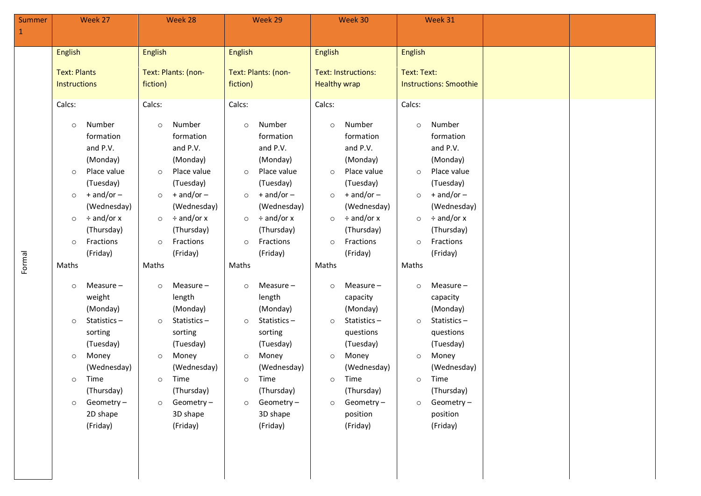| Summer<br>$1\,$ |                                                                                                                               | Week 27                                                                                                                                                                                                                                                                                                                        |                                                                                                                               | Week 28                                                                                                                                                                                                                                                                                                                        |                                                                                                                    | Week 29                                                                                                                                                                                                                                                                                                                                 |                                                                                                                               | Week 30                                                                                                                                                                                                                                                                                                                             |                                                                                                                                | Week 31                                                                                                                                                                                                                                                                                                                       |  |
|-----------------|-------------------------------------------------------------------------------------------------------------------------------|--------------------------------------------------------------------------------------------------------------------------------------------------------------------------------------------------------------------------------------------------------------------------------------------------------------------------------|-------------------------------------------------------------------------------------------------------------------------------|--------------------------------------------------------------------------------------------------------------------------------------------------------------------------------------------------------------------------------------------------------------------------------------------------------------------------------|--------------------------------------------------------------------------------------------------------------------|-----------------------------------------------------------------------------------------------------------------------------------------------------------------------------------------------------------------------------------------------------------------------------------------------------------------------------------------|-------------------------------------------------------------------------------------------------------------------------------|-------------------------------------------------------------------------------------------------------------------------------------------------------------------------------------------------------------------------------------------------------------------------------------------------------------------------------------|--------------------------------------------------------------------------------------------------------------------------------|-------------------------------------------------------------------------------------------------------------------------------------------------------------------------------------------------------------------------------------------------------------------------------------------------------------------------------|--|
|                 | English<br><b>Text: Plants</b><br>Instructions                                                                                |                                                                                                                                                                                                                                                                                                                                | <b>English</b><br>fiction)                                                                                                    | Text: Plants: (non-                                                                                                                                                                                                                                                                                                            |                                                                                                                    | English<br>Text: Plants: (non-<br>fiction)                                                                                                                                                                                                                                                                                              |                                                                                                                               | English<br><b>Text: Instructions:</b><br><b>Healthy wrap</b>                                                                                                                                                                                                                                                                        |                                                                                                                                | Text: Text:<br><b>Instructions: Smoothie</b>                                                                                                                                                                                                                                                                                  |  |
| Formal          | Calcs:<br>$\circ$<br>$\circ$<br>$\circ$<br>$\circ$<br>$\circ$<br>Maths<br>$\circ$<br>$\circ$<br>$\circ$<br>$\circ$<br>$\circ$ | Number<br>formation<br>and P.V.<br>(Monday)<br>Place value<br>(Tuesday)<br>$+$ and/or $-$<br>(Wednesday)<br>$\div$ and/or x<br>(Thursday)<br>Fractions<br>(Friday)<br>Measure-<br>weight<br>(Monday)<br>Statistics-<br>sorting<br>(Tuesday)<br>Money<br>(Wednesday)<br>Time<br>(Thursday)<br>Geometry-<br>2D shape<br>(Friday) | Calcs:<br>$\circ$<br>$\circ$<br>$\circ$<br>$\circ$<br>$\circ$<br>Maths<br>$\circ$<br>$\circ$<br>$\circ$<br>$\circ$<br>$\circ$ | Number<br>formation<br>and P.V.<br>(Monday)<br>Place value<br>(Tuesday)<br>$+$ and/or $-$<br>(Wednesday)<br>$\div$ and/or x<br>(Thursday)<br>Fractions<br>(Friday)<br>Measure-<br>length<br>(Monday)<br>Statistics-<br>sorting<br>(Tuesday)<br>Money<br>(Wednesday)<br>Time<br>(Thursday)<br>Geometry-<br>3D shape<br>(Friday) | Calcs:<br>$\circ$<br>$\circ$<br>$\circ$<br>$\circ$<br>Maths<br>$\circ$<br>$\circ$<br>$\circ$<br>$\circ$<br>$\circ$ | Number<br>formation<br>and P.V.<br>(Monday)<br>Place value<br>(Tuesday)<br>$+$ and/or $-$<br>(Wednesday)<br>$\circ$ $\div$ and/or x<br>(Thursday)<br>Fractions<br>(Friday)<br>Measure -<br>length<br>(Monday)<br>Statistics-<br>sorting<br>(Tuesday)<br>Money<br>(Wednesday)<br>Time<br>(Thursday)<br>Geometry-<br>3D shape<br>(Friday) | Calcs:<br>$\circ$<br>$\circ$<br>$\circ$<br>$\circ$<br>$\circ$<br>Maths<br>$\circ$<br>$\circ$<br>$\circ$<br>$\circ$<br>$\circ$ | Number<br>formation<br>and P.V.<br>(Monday)<br>Place value<br>(Tuesday)<br>$+$ and/or $-$<br>(Wednesday)<br>$\div$ and/or x<br>(Thursday)<br>Fractions<br>(Friday)<br>Measure -<br>capacity<br>(Monday)<br>Statistics-<br>questions<br>(Tuesday)<br>Money<br>(Wednesday)<br>Time<br>(Thursday)<br>Geometry-<br>position<br>(Friday) | Calcs:<br>$\circ$<br>$\circ$<br>$\circ$<br>$\circ$<br>$\circ$<br>Maths<br>$\circ$<br>$\Omega$<br>$\circ$<br>$\circ$<br>$\circ$ | Number<br>formation<br>and P.V.<br>(Monday)<br>Place value<br>(Tuesday)<br>$+$ and/or $-$<br>(Wednesday)<br>÷ and/or x<br>(Thursday)<br>Fractions<br>(Friday)<br>Measure-<br>capacity<br>(Monday)<br>Statistics-<br>questions<br>(Tuesday)<br>Money<br>(Wednesday)<br>Time<br>(Thursday)<br>Geometry-<br>position<br>(Friday) |  |